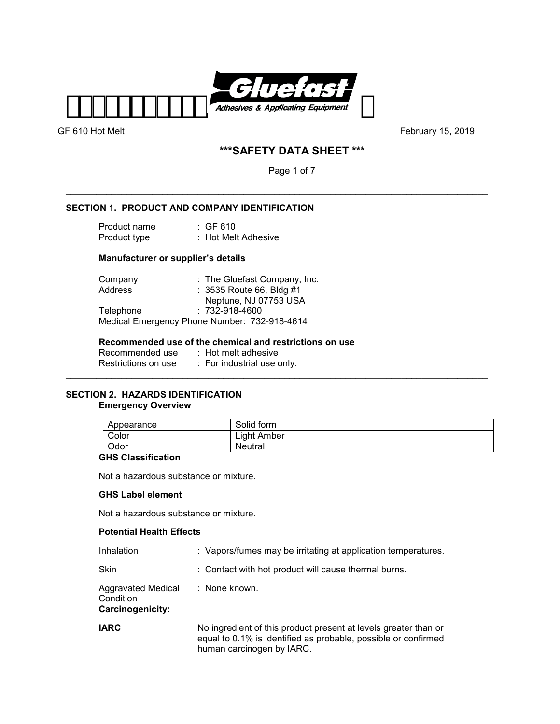

GF 610 Hot Melt **GF 610 Hot Melt GF 610 Hot Melt February 15, 2019** 

# **\*\*\*SAFETY DATA SHEET \*\*\***

Page 1 of 7

\_\_\_\_\_\_\_\_\_\_\_\_\_\_\_\_\_\_\_\_\_\_\_\_\_\_\_\_\_\_\_\_\_\_\_\_\_\_\_\_\_\_\_\_\_\_\_\_\_\_\_\_\_\_\_\_\_\_\_\_\_\_\_\_\_\_\_\_\_\_\_\_\_\_\_\_\_\_\_\_\_\_\_

# **SECTION 1. PRODUCT AND COMPANY IDENTIFICATION**

| Product name | $\therefore$ GF 610 |
|--------------|---------------------|
| Product type | : Hot Melt Adhesive |

# **Manufacturer or supplier's details**

| Company          | : The Gluefast Company, Inc.                 |
|------------------|----------------------------------------------|
| Address          | : 3535 Route 66, Bldg #1                     |
|                  | Neptune, NJ 07753 USA                        |
| <b>Telephone</b> | $: 732 - 918 - 4600$                         |
|                  | Medical Emergency Phone Number: 732-918-4614 |

# **Recommended use of the chemical and restrictions on use**

| Recommended use     | $\therefore$ Hot melt adhesive |
|---------------------|--------------------------------|
| Restrictions on use | : For industrial use only.     |

# **SECTION 2. HAZARDS IDENTIFICATION Emergency Overview**

| Appearance | Solid form  |
|------------|-------------|
| Color      | Light Amber |
| Odor       | Neutral     |

\_\_\_\_\_\_\_\_\_\_\_\_\_\_\_\_\_\_\_\_\_\_\_\_\_\_\_\_\_\_\_\_\_\_\_\_\_\_\_\_\_\_\_\_\_\_\_\_\_\_\_\_\_\_\_\_\_\_\_\_\_\_\_\_\_\_\_\_\_\_\_\_\_\_\_\_\_\_\_\_\_\_\_

# **GHS Classification**

Not a hazardous substance or mixture.

### **GHS Label element**

Not a hazardous substance or mixture.

#### **Potential Health Effects**

| Inhalation                                                 | : Vapors/fumes may be irritating at application temperatures.                                                                                                  |
|------------------------------------------------------------|----------------------------------------------------------------------------------------------------------------------------------------------------------------|
| Skin                                                       | : Contact with hot product will cause thermal burns.                                                                                                           |
| <b>Aggravated Medical</b><br>Condition<br>Carcinogenicity: | : None known.                                                                                                                                                  |
| <b>IARC</b>                                                | No ingredient of this product present at levels greater than or<br>equal to 0.1% is identified as probable, possible or confirmed<br>human carcinogen by IARC. |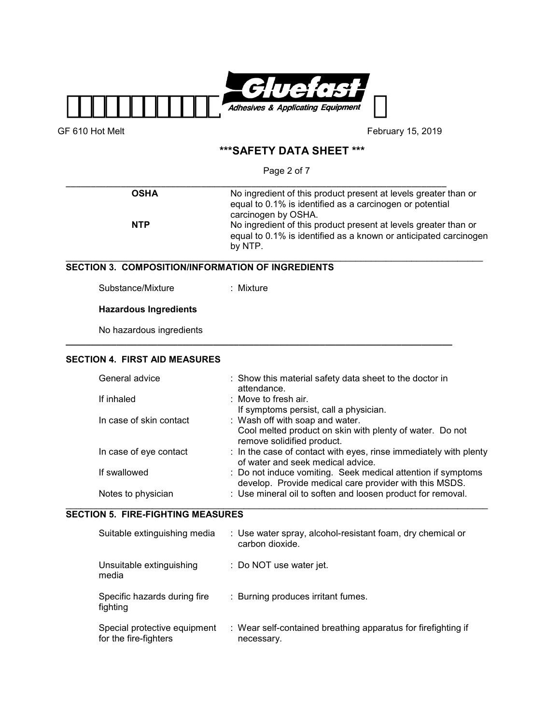

# **\*\*\*SAFETY DATA SHEET \*\*\***

Page 2 of 7

| <b>OSHA</b>                                              | No ingredient of this product present at levels greater than or<br>equal to 0.1% is identified as a carcinogen or potential<br>carcinogen by OSHA.                  |
|----------------------------------------------------------|---------------------------------------------------------------------------------------------------------------------------------------------------------------------|
| <b>NTP</b>                                               | No ingredient of this product present at levels greater than or<br>equal to 0.1% is identified as a known or anticipated carcinogen<br>by NTP.                      |
| <b>SECTION 3. COMPOSITION/INFORMATION OF INGREDIENTS</b> |                                                                                                                                                                     |
| Substance/Mixture                                        | : Mixture                                                                                                                                                           |
| <b>Hazardous Ingredients</b>                             |                                                                                                                                                                     |
|                                                          |                                                                                                                                                                     |
| No hazardous ingredients                                 |                                                                                                                                                                     |
| <b>SECTION 4. FIRST AID MEASURES</b>                     |                                                                                                                                                                     |
| General advice                                           | : Show this material safety data sheet to the doctor in<br>attendance.                                                                                              |
| If inhaled                                               | : Move to fresh air.                                                                                                                                                |
| In case of skin contact                                  | If symptoms persist, call a physician.<br>: Wash off with soap and water.<br>Cool melted product on skin with plenty of water. Do not<br>remove solidified product. |
| In case of eye contact                                   | : In the case of contact with eyes, rinse immediately with plenty<br>of water and seek medical advice.                                                              |
| If swallowed                                             | : Do not induce vomiting. Seek medical attention if symptoms<br>develop. Provide medical care provider with this MSDS.                                              |

| Suitable extinguishing media                          | : Use water spray, alcohol-resistant foam, dry chemical or<br>carbon dioxide. |
|-------------------------------------------------------|-------------------------------------------------------------------------------|
| Unsuitable extinguishing<br>media                     | : Do NOT use water jet.                                                       |
| Specific hazards during fire<br>fighting              | : Burning produces irritant fumes.                                            |
| Special protective equipment<br>for the fire-fighters | : Wear self-contained breathing apparatus for firefighting if<br>necessary.   |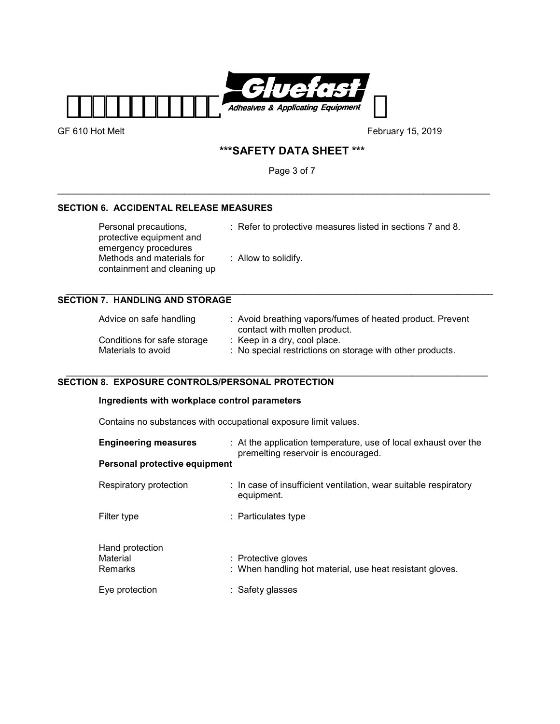

# **\*\*\*SAFETY DATA SHEET \*\*\***

Page 3 of 7

\_\_\_\_\_\_\_\_\_\_\_\_\_\_\_\_\_\_\_\_\_\_\_\_\_\_\_\_\_\_\_\_\_\_\_\_\_\_\_\_\_\_\_\_\_\_\_\_\_\_\_\_\_\_\_\_\_\_\_\_\_\_\_\_\_\_\_\_\_\_\_\_\_\_\_\_\_\_\_\_\_\_\_\_\_

# **SECTION 6. ACCIDENTAL RELEASE MEASURES**

| Personal precautions,<br>protective equipment and<br>emergency procedures | : Refer to protective measures listed in sections 7 and 8. |
|---------------------------------------------------------------------------|------------------------------------------------------------|
| Methods and materials for<br>containment and cleaning up                  | : Allow to solidify.                                       |

# **SECTION 7. HANDLING AND STORAGE**

| Advice on safe handling     | : Avoid breathing vapors/fumes of heated product. Prevent<br>contact with molten product. |
|-----------------------------|-------------------------------------------------------------------------------------------|
| Conditions for safe storage | : Keep in a dry, cool place.                                                              |
| Materials to avoid          | : No special restrictions on storage with other products.                                 |

#### \_\_\_\_\_\_\_\_\_\_\_\_\_\_\_\_\_\_\_\_\_\_\_\_\_\_\_\_\_\_\_\_\_\_\_\_\_\_\_\_\_\_\_\_\_\_\_\_\_\_\_\_\_\_\_\_\_\_\_\_\_\_\_\_\_\_\_\_\_\_\_\_\_\_\_\_\_\_\_\_\_\_\_ **SECTION 8. EXPOSURE CONTROLS/PERSONAL PROTECTION**

# **Ingredients with workplace control parameters**

Contains no substances with occupational exposure limit values.

| <b>Engineering measures</b>            | : At the application temperature, use of local exhaust over the<br>premelting reservoir is encouraged. |
|----------------------------------------|--------------------------------------------------------------------------------------------------------|
| Personal protective equipment          |                                                                                                        |
| Respiratory protection                 | : In case of insufficient ventilation, wear suitable respiratory<br>equipment.                         |
| Filter type                            | : Particulates type                                                                                    |
| Hand protection<br>Material<br>Remarks | : Protective gloves<br>: When handling hot material, use heat resistant gloves.                        |
| Eve protection                         | : Safety glasses                                                                                       |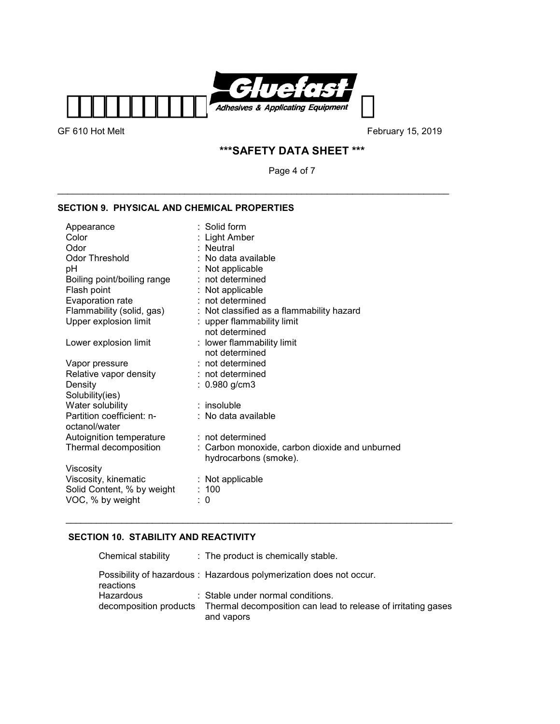

# **\*\*\*SAFETY DATA SHEET \*\*\***

Page 4 of 7

\_\_\_\_\_\_\_\_\_\_\_\_\_\_\_\_\_\_\_\_\_\_\_\_\_\_\_\_\_\_\_\_\_\_\_\_\_\_\_\_\_\_\_\_\_\_\_\_\_\_\_\_\_\_\_\_\_\_\_\_\_\_\_\_\_\_\_\_\_\_\_\_\_\_\_\_\_

# **SECTION 9. PHYSICAL AND CHEMICAL PROPERTIES**

| Appearance                  | : Solid form                                   |
|-----------------------------|------------------------------------------------|
| Color                       | : Light Amber                                  |
| Odor                        | : Neutral                                      |
| <b>Odor Threshold</b>       | : No data available                            |
| рH                          | : Not applicable                               |
| Boiling point/boiling range | : not determined                               |
| Flash point                 | : Not applicable                               |
| Evaporation rate            | : not determined                               |
| Flammability (solid, gas)   | : Not classified as a flammability hazard      |
| Upper explosion limit       | : upper flammability limit                     |
|                             | not determined                                 |
| Lower explosion limit       | : lower flammability limit                     |
|                             | not determined                                 |
| Vapor pressure              | : not determined                               |
| Relative vapor density      | : not determined                               |
| Density                     | : 0.980 g/cm3                                  |
| Solubility(ies)             |                                                |
| Water solubility            | $:$ insoluble                                  |
| Partition coefficient: n-   | : No data available                            |
| octanol/water               |                                                |
| Autoignition temperature    | $:$ not determined                             |
| Thermal decomposition       | : Carbon monoxide, carbon dioxide and unburned |
|                             | hydrocarbons (smoke).                          |
| Viscosity                   |                                                |
| Viscosity, kinematic        | $:$ Not applicable                             |
| Solid Content, % by weight  | : 100                                          |
| VOC, % by weight            | 0                                              |

# **SECTION 10. STABILITY AND REACTIVITY**

| Chemical stability                  | : The product is chemically stable.                                                                |
|-------------------------------------|----------------------------------------------------------------------------------------------------|
| reactions                           | Possibility of hazardous: Hazardous polymerization does not occur.                                 |
| Hazardous<br>decomposition products | : Stable under normal conditions.<br>Thermal decomposition can lead to release of irritating gases |
|                                     | and vapors                                                                                         |

\_\_\_\_\_\_\_\_\_\_\_\_\_\_\_\_\_\_\_\_\_\_\_\_\_\_\_\_\_\_\_\_\_\_\_\_\_\_\_\_\_\_\_\_\_\_\_\_\_\_\_\_\_\_\_\_\_\_\_\_\_\_\_\_\_\_\_\_\_\_\_\_\_\_\_\_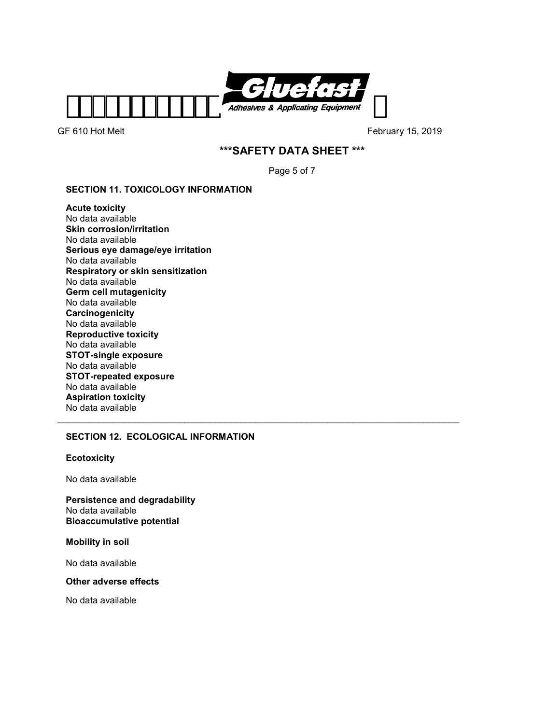

# **\*\*\*SAFETY DATA SHEET \*\*\***

Page 5 of 7

 $\_$  , and the set of the set of the set of the set of the set of the set of the set of the set of the set of the set of the set of the set of the set of the set of the set of the set of the set of the set of the set of th

# **SECTION 11. TOXICOLOGY INFORMATION**

**Acute toxicity**  No data available **Skin corrosion/irritation**  No data available **Serious eye damage/eye irritation**  No data available **Respiratory or skin sensitization**  No data available **Germ cell mutagenicity**  No data available **Carcinogenicity**  No data available **Reproductive toxicity**  No data available **STOT-single exposure**  No data available **STOT-repeated exposure**  No data available **Aspiration toxicity**  No data available

# **SECTION 12. ECOLOGICAL INFORMATION**

### **Ecotoxicity**

No data available

**Persistence and degradability**  No data available **Bioaccumulative potential** 

**Mobility in soil** 

No data available

#### **Other adverse effects**

No data available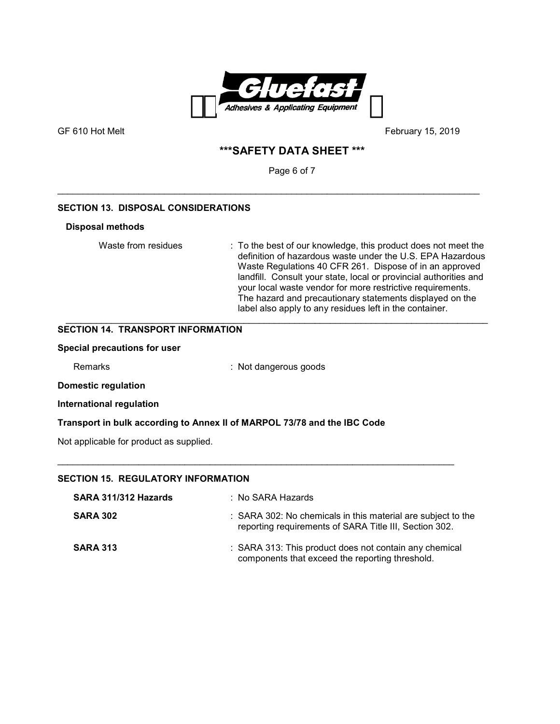

GF 610 Hot Melt **GF 610 Hot Melt CF 610 Hot Melt February 15, 2019** 

# **\*\*\*SAFETY DATA SHEET \*\*\***

Page 6 of 7

\_\_\_\_\_\_\_\_\_\_\_\_\_\_\_\_\_\_\_\_\_\_\_\_\_\_\_\_\_\_\_\_\_\_\_\_\_\_\_\_\_\_\_\_\_\_\_\_\_\_\_\_\_\_\_\_\_\_\_\_\_\_\_\_\_\_\_\_\_\_\_\_\_\_\_\_\_\_\_\_\_\_\_

# **SECTION 13. DISPOSAL CONSIDERATIONS**

### **Disposal methods**

Waste from residues : To the best of our knowledge, this product does not meet the definition of hazardous waste under the U.S. EPA Hazardous Waste Regulations 40 CFR 261. Dispose of in an approved landfill. Consult your state, local or provincial authorities and your local waste vendor for more restrictive requirements. The hazard and precautionary statements displayed on the label also apply to any residues left in the container.

#### \_\_\_\_\_\_\_\_\_\_\_\_\_\_\_\_\_\_\_\_\_\_\_\_\_\_\_\_\_\_\_\_\_\_\_\_\_\_\_\_\_\_\_\_\_\_\_\_\_\_\_\_\_\_\_\_\_\_\_\_\_\_\_\_\_\_\_\_\_\_\_\_\_\_\_\_\_\_\_\_\_\_\_ **SECTION 14. TRANSPORT INFORMATION**

#### **Special precautions for user**

Remarks : Not dangerous goods

### **Domestic regulation**

**International regulation** 

### **Transport in bulk according to Annex II of MARPOL 73/78 and the IBC Code**

Not applicable for product as supplied.

# **SECTION 15. REGULATORY INFORMATION**

| SARA 311/312 Hazards | : No SARA Hazards                                                                                                      |
|----------------------|------------------------------------------------------------------------------------------------------------------------|
| <b>SARA 302</b>      | : SARA 302: No chemicals in this material are subject to the<br>reporting requirements of SARA Title III, Section 302. |
| <b>SARA 313</b>      | : SARA 313: This product does not contain any chemical<br>components that exceed the reporting threshold.              |

 $\_$  , and the set of the set of the set of the set of the set of the set of the set of the set of the set of the set of the set of the set of the set of the set of the set of the set of the set of the set of the set of th